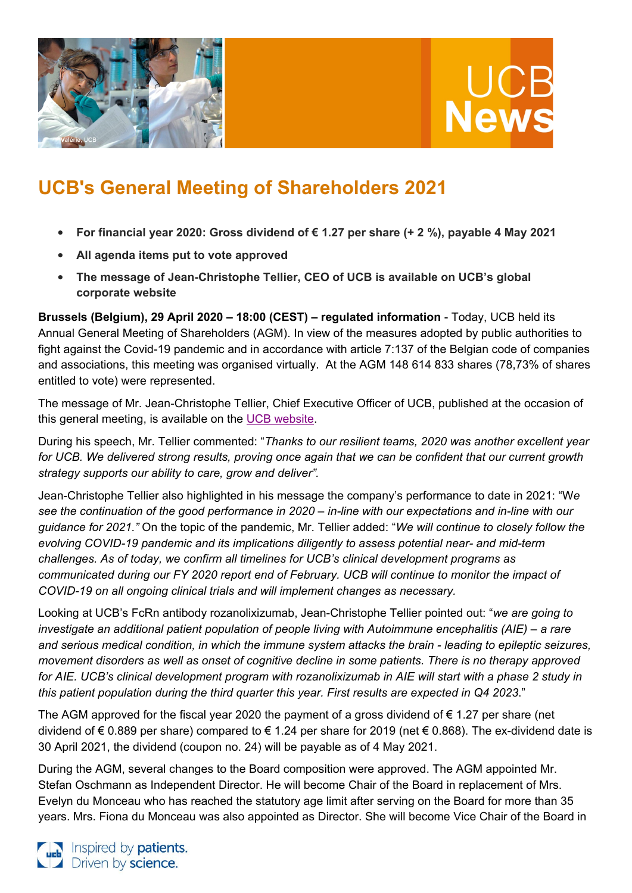



# **UCB's General Meeting of Shareholders 2021**

- **For financial year 2020: Gross dividend of € 1.27 per share (+ 2 %), payable 4 May 2021**
- **All agenda items put to vote approved**
- **The message of Jean-Christophe Tellier, CEO of UCB is available on UCB's global corporate website**

**Brussels (Belgium), 29 April 2020 – 18:00 (CEST) – regulated information** - Today, UCB held its Annual General Meeting of Shareholders (AGM). In view of the measures adopted by public authorities to fight against the Covid-19 pandemic and in accordance with article 7:137 of the Belgian code of companies and associations, this meeting was organised virtually. At the AGM 148 614 833 shares (78,73% of shares entitled to vote) were represented.

The message of Mr. Jean-Christophe Tellier, Chief Executive Officer of UCB, published at the occasion of this general meeting, is available on the [UCB website.](https://www.ucb.com/investors/UCB-shareholders/Shareholders-meeting-2021)

During his speech, Mr. Tellier commented: "*Thanks to our resilient teams, 2020 was another excellent year for UCB. We delivered strong results, proving once again that we can be confident that our current growth strategy supports our ability to care, grow and deliver".* 

Jean-Christophe Tellier also highlighted in his message the company's performance to date in 2021: "W*e see the continuation of the good performance in 2020 – in-line with our expectations and in-line with our guidance for 2021."* On the topic of the pandemic, Mr. Tellier added: "*We will continue to closely follow the evolving COVID-19 pandemic and its implications diligently to assess potential near- and mid-term challenges. As of today, we confirm all timelines for UCB's clinical development programs as communicated during our FY 2020 report end of February. UCB will continue to monitor the impact of COVID-19 on all ongoing clinical trials and will implement changes as necessary.* 

Looking at UCB's FcRn antibody rozanolixizumab, Jean-Christophe Tellier pointed out: "*we are going to investigate an additional patient population of people living with Autoimmune encephalitis (AIE) – a rare and serious medical condition, in which the immune system attacks the brain - leading to epileptic seizures, movement disorders as well as onset of cognitive decline in some patients. There is no therapy approved for AIE. UCB's clinical development program with rozanolixizumab in AIE will start with a phase 2 study in this patient population during the third quarter this year. First results are expected in Q4 2023*."

The AGM approved for the fiscal year 2020 the payment of a gross dividend of  $\epsilon$  1.27 per share (net dividend of € 0.889 per share) compared to € 1.24 per share for 2019 (net € 0.868). The ex-dividend date is 30 April 2021, the dividend (coupon no. 24) will be payable as of 4 May 2021.

During the AGM, several changes to the Board composition were approved. The AGM appointed Mr. Stefan Oschmann as Independent Director. He will become Chair of the Board in replacement of Mrs. Evelyn du Monceau who has reached the statutory age limit after serving on the Board for more than 35 years. Mrs. Fiona du Monceau was also appointed as Director. She will become Vice Chair of the Board in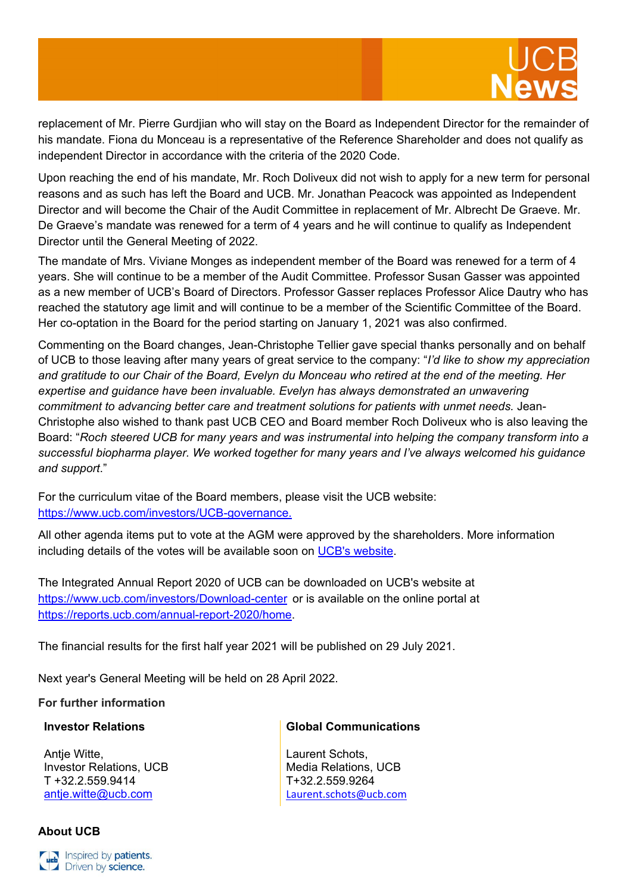

replacement of Mr. Pierre Gurdjian who will stay on the Board as Independent Director for the remainder of his mandate. Fiona du Monceau is a representative of the Reference Shareholder and does not qualify as independent Director in accordance with the criteria of the 2020 Code.

Upon reaching the end of his mandate, Mr. Roch Doliveux did not wish to apply for a new term for personal reasons and as such has left the Board and UCB. Mr. Jonathan Peacock was appointed as Independent Director and will become the Chair of the Audit Committee in replacement of Mr. Albrecht De Graeve. Mr. De Graeve's mandate was renewed for a term of 4 years and he will continue to qualify as Independent Director until the General Meeting of 2022.

The mandate of Mrs. Viviane Monges as independent member of the Board was renewed for a term of 4 years. She will continue to be a member of the Audit Committee. Professor Susan Gasser was appointed as a new member of UCB's Board of Directors. Professor Gasser replaces Professor Alice Dautry who has reached the statutory age limit and will continue to be a member of the Scientific Committee of the Board. Her co-optation in the Board for the period starting on January 1, 2021 was also confirmed.

Commenting on the Board changes, Jean-Christophe Tellier gave special thanks personally and on behalf of UCB to those leaving after many years of great service to the company: "*I'd like to show my appreciation and gratitude to our Chair of the Board, Evelyn du Monceau who retired at the end of the meeting. Her expertise and guidance have been invaluable. Evelyn has always demonstrated an unwavering commitment to advancing better care and treatment solutions for patients with unmet needs.* Jean-Christophe also wished to thank past UCB CEO and Board member Roch Doliveux who is also leaving the Board: "*Roch steered UCB for many years and was instrumental into helping the company transform into a successful biopharma player. We worked together for many years and I've always welcomed his guidance and support*."

For the curriculum vitae of the Board members, please visit the UCB website: <https://www.ucb.com/investors/UCB-governance.>

All other agenda items put to vote at the AGM were approved by the shareholders. More information including details of the votes will be available soon on [UCB's website.](https://www.ucb.com/investors/UCB-shareholders/Shareholders-meeting-2021)

The Integrated Annual Report 2020 of UCB can be downloaded on UCB's website at <https://www.ucb.com/investors/Download-center> or is available on the online portal at [https://reports.ucb.com/annual-report-2020/home.](https://reports.ucb.com/annual-report-2020/home)

The financial results for the first half year 2021 will be published on 29 July 2021.

Next year's General Meeting will be held on 28 April 2022.

## **For further information**

#### **Investor Relations**

Antje Witte, Investor Relations, UCB T +32.2.559.9414 [antje.witte@ucb.com](mailto:antje.witte@ucb.com)

#### **Global Communications**

Laurent Schots, Media Relations, UCB T+32.2.559.9264 [Laurent.schots@ucb.com](mailto:Laurent.schots@ucb.com)

## **About UCB**

Inspired by patients. Driven by science.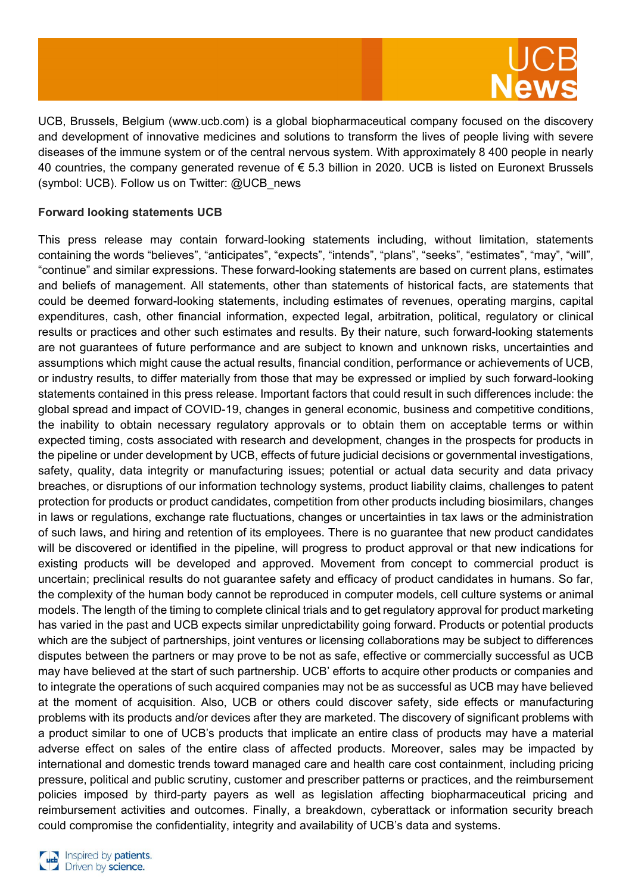

UCB, Brussels, Belgium [\(www.ucb.com\)](http://www.ucb.com/) is a global biopharmaceutical company focused on the discovery and development of innovative medicines and solutions to transform the lives of people living with severe diseases of the immune system or of the central nervous system. With approximately 8 400 people in nearly 40 countries, the company generated revenue of € 5.3 billion in 2020. UCB is listed on Euronext Brussels (symbol: UCB). Follow us on Twitter: @UCB\_news

## **Forward looking statements UCB**

This press release may contain forward-looking statements including, without limitation, statements containing the words "believes", "anticipates", "expects", "intends", "plans", "seeks", "estimates", "may", "will", "continue" and similar expressions. These forward-looking statements are based on current plans, estimates and beliefs of management. All statements, other than statements of historical facts, are statements that could be deemed forward-looking statements, including estimates of revenues, operating margins, capital expenditures, cash, other financial information, expected legal, arbitration, political, regulatory or clinical results or practices and other such estimates and results. By their nature, such forward-looking statements are not guarantees of future performance and are subject to known and unknown risks, uncertainties and assumptions which might cause the actual results, financial condition, performance or achievements of UCB, or industry results, to differ materially from those that may be expressed or implied by such forward-looking statements contained in this press release. Important factors that could result in such differences include: the global spread and impact of COVID-19, changes in general economic, business and competitive conditions, the inability to obtain necessary regulatory approvals or to obtain them on acceptable terms or within expected timing, costs associated with research and development, changes in the prospects for products in the pipeline or under development by UCB, effects of future judicial decisions or governmental investigations, safety, quality, data integrity or manufacturing issues; potential or actual data security and data privacy breaches, or disruptions of our information technology systems, product liability claims, challenges to patent protection for products or product candidates, competition from other products including biosimilars, changes in laws or regulations, exchange rate fluctuations, changes or uncertainties in tax laws or the administration of such laws, and hiring and retention of its employees. There is no guarantee that new product candidates will be discovered or identified in the pipeline, will progress to product approval or that new indications for existing products will be developed and approved. Movement from concept to commercial product is uncertain; preclinical results do not guarantee safety and efficacy of product candidates in humans. So far, the complexity of the human body cannot be reproduced in computer models, cell culture systems or animal models. The length of the timing to complete clinical trials and to get regulatory approval for product marketing has varied in the past and UCB expects similar unpredictability going forward. Products or potential products which are the subject of partnerships, joint ventures or licensing collaborations may be subject to differences disputes between the partners or may prove to be not as safe, effective or commercially successful as UCB may have believed at the start of such partnership. UCB' efforts to acquire other products or companies and to integrate the operations of such acquired companies may not be as successful as UCB may have believed at the moment of acquisition. Also, UCB or others could discover safety, side effects or manufacturing problems with its products and/or devices after they are marketed. The discovery of significant problems with a product similar to one of UCB's products that implicate an entire class of products may have a material adverse effect on sales of the entire class of affected products. Moreover, sales may be impacted by international and domestic trends toward managed care and health care cost containment, including pricing pressure, political and public scrutiny, customer and prescriber patterns or practices, and the reimbursement policies imposed by third-party payers as well as legislation affecting biopharmaceutical pricing and reimbursement activities and outcomes. Finally, a breakdown, cyberattack or information security breach could compromise the confidentiality, integrity and availability of UCB's data and systems.